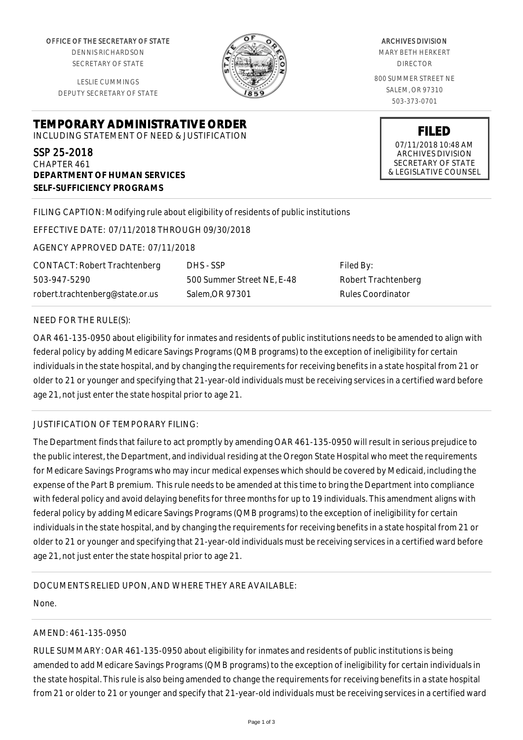OFFICE OF THE SECRETARY OF STATE

DENNIS RICHARDSON SECRETARY OF STATE

LESLIE CUMMINGS DEPUTY SECRETARY OF STATE

**DEPARTMENT OF HUMAN SERVICES**

**SELF-SUFFICIENCY PROGRAMS**



ARCHIVES DIVISION MARY BETH HERKERT DIRECTOR 800 SUMMER STREET NE SALEM, OR 97310

503-373-0701

**FILED** 07/11/2018 10:48 AM ARCHIVES DIVISION SECRETARY OF STATE & LEGISLATIVE COUNSEL

FILING CAPTION: Modifying rule about eligibility of residents of public institutions

EFFECTIVE DATE: 07/11/2018 THROUGH 09/30/2018

**TEMPORARY ADMINISTRATIVE ORDER** INCLUDING STATEMENT OF NEED & JUSTIFICATION

AGENCY APPROVED DATE: 07/11/2018

CONTACT: Robert Trachtenberg 503-947-5290 robert.trachtenberg@state.or.us

DHS - SSP 500 Summer Street NE, E-48 Salem,OR 97301

Filed By: Robert Trachtenberg Rules Coordinator

#### NEED FOR THE RULE(S):

SSP 25-2018 CHAPTER 461

OAR 461-135-0950 about eligibility for inmates and residents of public institutions needs to be amended to align with federal policy by adding Medicare Savings Programs (QMB programs) to the exception of ineligibility for certain individuals in the state hospital, and by changing the requirements for receiving benefits in a state hospital from 21 or older to 21 or younger and specifying that 21-year-old individuals must be receiving services in a certified ward before age 21, not just enter the state hospital prior to age 21.

### JUSTIFICATION OF TEMPORARY FILING:

The Department finds that failure to act promptly by amending OAR 461-135-0950 will result in serious prejudice to the public interest, the Department, and individual residing at the Oregon State Hospital who meet the requirements for Medicare Savings Programs who may incur medical expenses which should be covered by Medicaid, including the expense of the Part B premium. This rule needs to be amended at this time to bring the Department into compliance with federal policy and avoid delaying benefits for three months for up to 19 individuals. This amendment aligns with federal policy by adding Medicare Savings Programs (QMB programs) to the exception of ineligibility for certain individuals in the state hospital, and by changing the requirements for receiving benefits in a state hospital from 21 or older to 21 or younger and specifying that 21-year-old individuals must be receiving services in a certified ward before age 21, not just enter the state hospital prior to age 21.

### DOCUMENTS RELIED UPON, AND WHERE THEY ARE AVAILABLE:

None.

# AMEND: 461-135-0950

RULE SUMMARY: OAR 461-135-0950 about eligibility for inmates and residents of public institutions is being amended to add Medicare Savings Programs (QMB programs) to the exception of ineligibility for certain individuals in the state hospital. This rule is also being amended to change the requirements for receiving benefits in a state hospital from 21 or older to 21 or younger and specify that 21-year-old individuals must be receiving services in a certified ward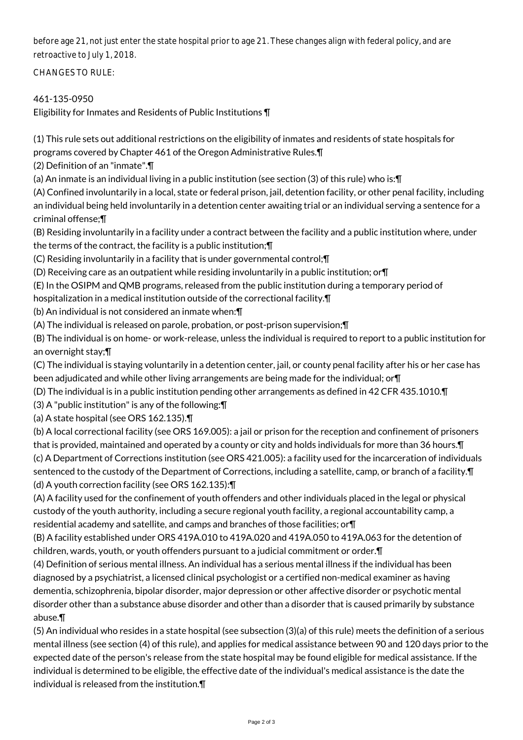before age 21, not just enter the state hospital prior to age 21. These changes align with federal policy, and are retroactive to July 1, 2018.

CHANGES TO RULE:

# 461-135-0950

Eligibility for Inmates and Residents of Public Institutions ¶

(1) This rule sets out additional restrictions on the eligibility of inmates and residents of state hospitals for programs covered by Chapter 461 of the Oregon Administrative Rules.¶

(2) Definition of an "inmate".¶

(a) An inmate is an individual living in a public institution (see section (3) of this rule) who is:¶

(A) Confined involuntarily in a local, state or federal prison, jail, detention facility, or other penal facility, including an individual being held involuntarily in a detention center awaiting trial or an individual serving a sentence for a criminal offense;¶

(B) Residing involuntarily in a facility under a contract between the facility and a public institution where, under the terms of the contract, the facility is a public institution;¶

(C) Residing involuntarily in a facility that is under governmental control;¶

(D) Receiving care as an outpatient while residing involuntarily in a public institution; or¶

(E) In the OSIPM and QMB programs, released from the public institution during a temporary period of

hospitalization in a medical institution outside of the correctional facility.¶

(b) An individual is not considered an inmate when:¶

(A) The individual is released on parole, probation, or post-prison supervision;¶

(B) The individual is on home- or work-release, unless the individual is required to report to a public institution for an overnight stay;¶

(C) The individual is staying voluntarily in a detention center, jail, or county penal facility after his or her case has been adjudicated and while other living arrangements are being made for the individual; or¶

(D) The individual is in a public institution pending other arrangements as defined in 42 CFR 435.1010.¶

(3) A "public institution" is any of the following:¶

(a) A state hospital (see ORS 162.135).¶

(b) A local correctional facility (see ORS 169.005): a jail or prison for the reception and confinement of prisoners that is provided, maintained and operated by a county or city and holds individuals for more than 36 hours.¶ (c) A Department of Corrections institution (see ORS 421.005): a facility used for the incarceration of individuals sentenced to the custody of the Department of Corrections, including a satellite, camp, or branch of a facility. $\P$ (d) A youth correction facility (see ORS 162.135):¶

(A) A facility used for the confinement of youth offenders and other individuals placed in the legal or physical custody of the youth authority, including a secure regional youth facility, a regional accountability camp, a residential academy and satellite, and camps and branches of those facilities; or¶

(B) A facility established under ORS 419A.010 to 419A.020 and 419A.050 to 419A.063 for the detention of children, wards, youth, or youth offenders pursuant to a judicial commitment or order.¶

(4) Definition of serious mental illness. An individual has a serious mental illness if the individual has been diagnosed by a psychiatrist, a licensed clinical psychologist or a certified non-medical examiner as having dementia, schizophrenia, bipolar disorder, major depression or other affective disorder or psychotic mental disorder other than a substance abuse disorder and other than a disorder that is caused primarily by substance abuse.¶

(5) An individual who resides in a state hospital (see subsection (3)(a) of this rule) meets the definition of a serious mental illness (see section (4) of this rule), and applies for medical assistance between 90 and 120 days prior to the expected date of the person's release from the state hospital may be found eligible for medical assistance. If the individual is determined to be eligible, the effective date of the individual's medical assistance is the date the individual is released from the institution.¶